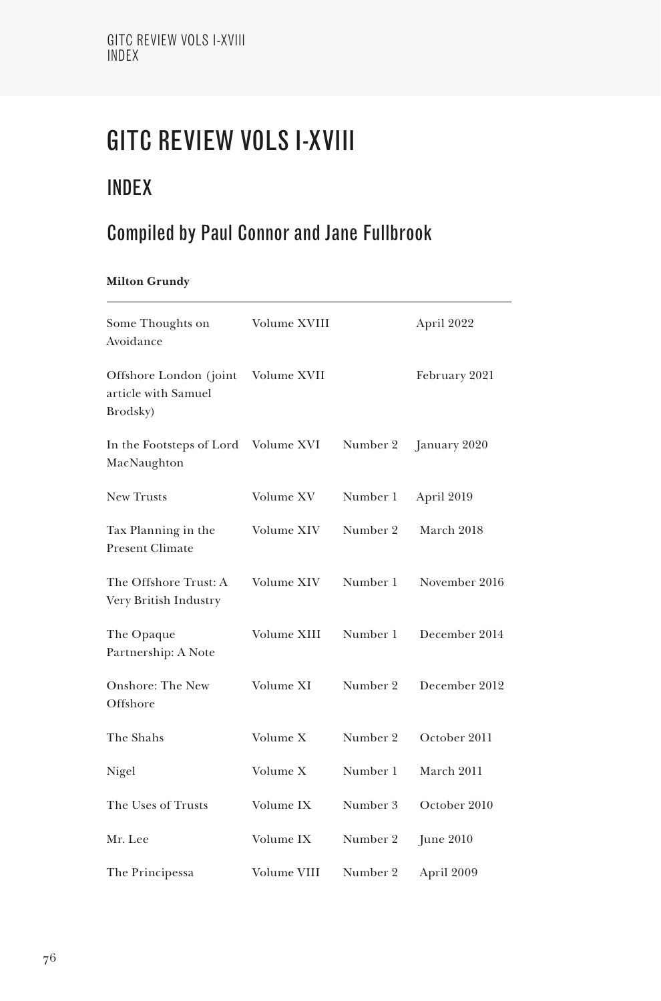# GITC REVIEW VOLS I-XVIII

## INDEX

## Compiled by Paul Connor and Jane Fullbrook

## **Milton Grundy**

| Some Thoughts on<br>Avoidance                              | Volume XVIII |          | April 2022    |
|------------------------------------------------------------|--------------|----------|---------------|
| Offshore London (joint)<br>article with Samuel<br>Brodsky) | Volume XVII  |          | February 2021 |
| In the Footsteps of Lord<br>MacNaughton                    | Volume XVI   | Number 2 | January 2020  |
| New Trusts                                                 | Volume XV    | Number 1 | April 2019    |
| Tax Planning in the<br><b>Present Climate</b>              | Volume XIV   | Number 2 | March 2018    |
| The Offshore Trust: A<br>Very British Industry             | Volume XIV   | Number 1 | November 2016 |
| The Opaque<br>Partnership: A Note                          | Volume XIII  | Number 1 | December 2014 |
| Onshore: The New<br>Offshore                               | Volume XI    | Number 2 | December 2012 |
| The Shahs                                                  | Volume X     | Number 2 | October 2011  |
| Nigel                                                      | Volume X     | Number 1 | March 2011    |
| The Uses of Trusts                                         | Volume IX    | Number 3 | October 2010  |
| Mr. Lee                                                    | Volume IX    | Number 2 | June $2010$   |
| The Principessa                                            | Volume VIII  | Number 2 | April 2009    |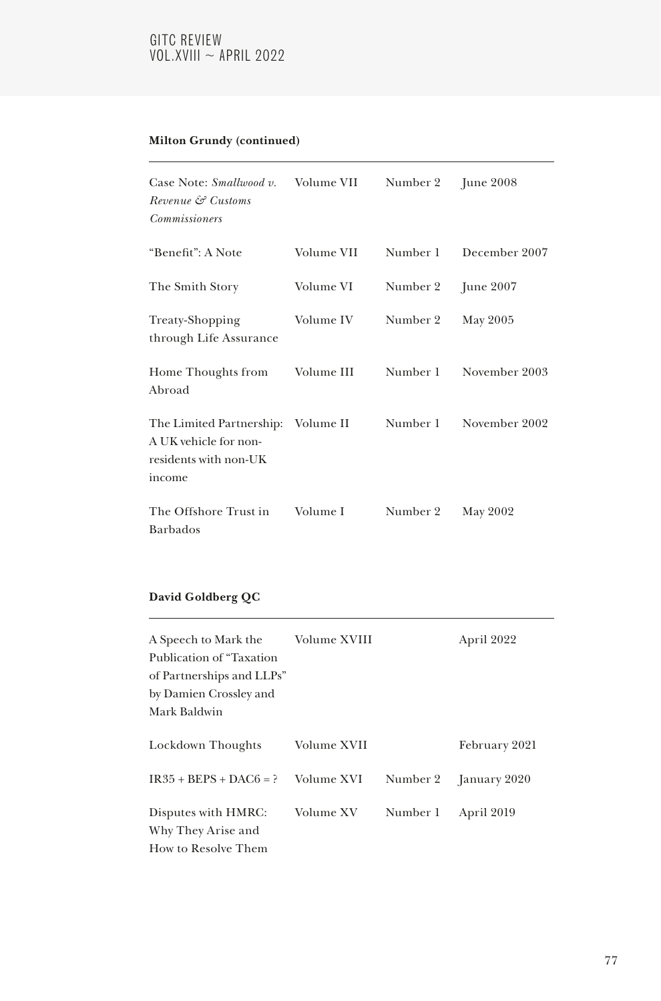## GITC REVIEW  $VOL.XVIII \sim APRIL 2022$

## **Milton Grundy (continued)**

| Case Note: <i>Smallwood v.</i><br>Revenue & Customs<br><i>Commissioners</i>                    | Volume VII | Number 2 | June $2008$   |
|------------------------------------------------------------------------------------------------|------------|----------|---------------|
| "Benefit": A Note                                                                              | Volume VII | Number 1 | December 2007 |
| The Smith Story                                                                                | Volume VI  | Number 2 | June $2007$   |
| Treaty-Shopping<br>through Life Assurance                                                      | Volume IV  | Number 2 | May 2005      |
| Home Thoughts from<br>Abroad                                                                   | Volume III | Number 1 | November 2003 |
| The Limited Partnership: Volume II<br>A UK vehicle for non-<br>residents with non-UK<br>income |            | Number 1 | November 2002 |
| The Offshore Trust in<br><b>Barbados</b>                                                       | Volume I   | Number 2 | May 2002      |

## **David Goldberg QC**

| A Speech to Mark the<br>Publication of "Taxation"<br>of Partnerships and LLPs"<br>by Damien Crossley and<br>Mark Baldwin | Volume XVIII |          | April 2022    |
|--------------------------------------------------------------------------------------------------------------------------|--------------|----------|---------------|
| Lockdown Thoughts                                                                                                        | Volume XVII  |          | February 2021 |
| $IR35 + BEPS + DAC6 = ?$                                                                                                 | Volume XVI   | Number 2 | January 2020  |
| Disputes with HMRC:<br>Why They Arise and<br>How to Resolve Them                                                         | Volume XV    | Number 1 | April 2019    |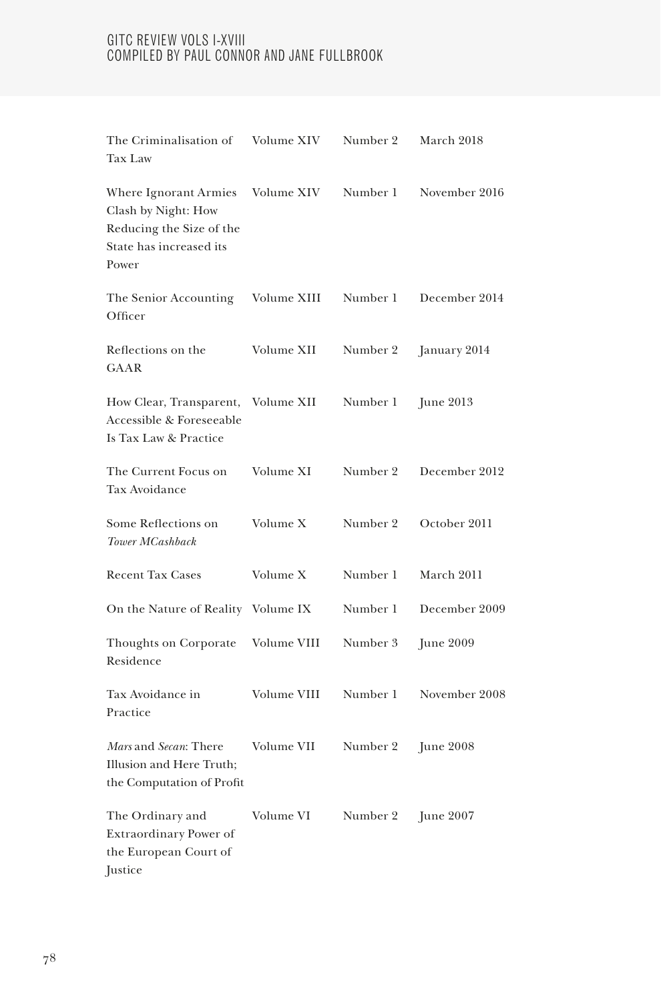| The Criminalisation of<br>Tax Law                                                                            | Volume XIV  | Number 2 | March 2018    |
|--------------------------------------------------------------------------------------------------------------|-------------|----------|---------------|
| Where Ignorant Armies<br>Clash by Night: How<br>Reducing the Size of the<br>State has increased its<br>Power | Volume XIV  | Number 1 | November 2016 |
| The Senior Accounting<br>Officer                                                                             | Volume XIII | Number 1 | December 2014 |
| Reflections on the<br><b>GAAR</b>                                                                            | Volume XII  | Number 2 | January 2014  |
| How Clear, Transparent,<br>Accessible & Foreseeable<br>Is Tax Law & Practice                                 | Volume XII  | Number 1 | June 2013     |
| The Current Focus on<br>Tax Avoidance                                                                        | Volume XI   | Number 2 | December 2012 |
| Some Reflections on<br>Tower MCashback                                                                       | Volume X    | Number 2 | October 2011  |
| <b>Recent Tax Cases</b>                                                                                      | Volume X    | Number 1 | March 2011    |
| On the Nature of Reality Volume IX                                                                           |             | Number 1 | December 2009 |
| Thoughts on Corporate<br>Residence                                                                           | Volume VIII | Number 3 | June 2009     |
| Tax Avoidance in<br>Practice                                                                                 | Volume VIII | Number 1 | November 2008 |
| Mars and Secan: There<br>Illusion and Here Truth;<br>the Computation of Profit                               | Volume VII  | Number 2 | June $2008$   |
| The Ordinary and<br>Extraordinary Power of<br>the European Court of<br><b>Justice</b>                        | Volume VI   | Number 2 | June 2007     |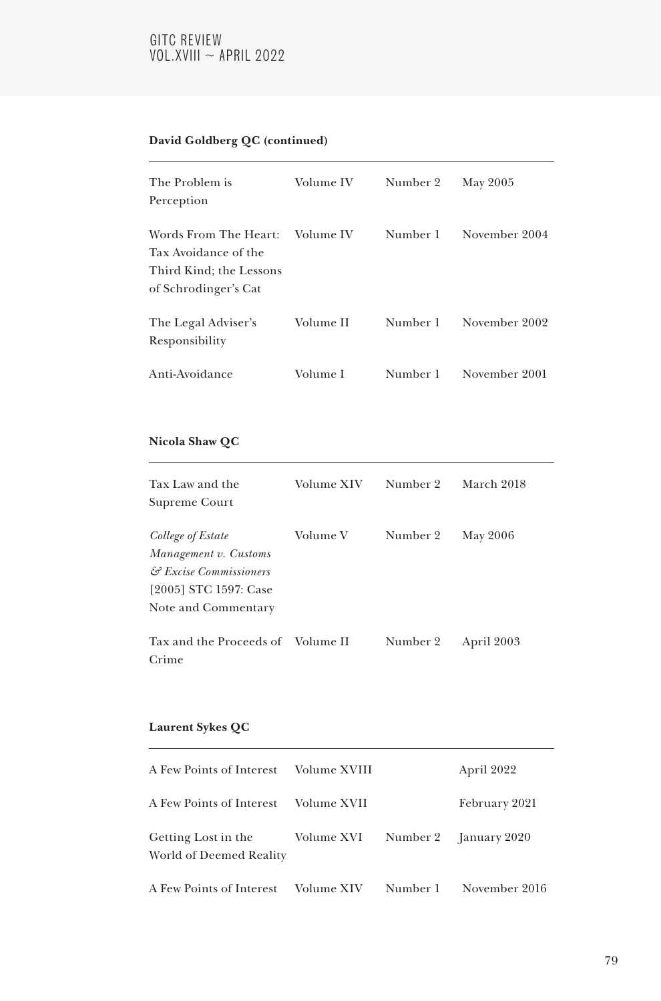## GITC REVIEW  $VOL.XVIII \sim APRIL 2022$

## **David Goldberg QC (continued)**

| The Problem is<br>Perception                                                                     | Volume IV | Number 2 | May 2005      |
|--------------------------------------------------------------------------------------------------|-----------|----------|---------------|
| Words From The Heart:<br>Tax Avoidance of the<br>Third Kind; the Lessons<br>of Schrodinger's Cat | Volume IV | Number 1 | November 2004 |
| The Legal Adviser's<br>Responsibility                                                            | Volume II | Number 1 | November 2002 |
| Anti-Avoidance                                                                                   | Volume I  | Number 1 | November 2001 |

## **Nicola Shaw QC**

| Tax Law and the<br>Supreme Court                                                                                     | Volume XIV | Number 2 | March 2018 |
|----------------------------------------------------------------------------------------------------------------------|------------|----------|------------|
| College of Estate<br>Management v. Customs<br>& Excise Commissioners<br>[2005] STC 1597: Case<br>Note and Commentary | Volume V   | Number 2 | May 2006   |
| Tax and the Proceeds of Volume II<br>Crime                                                                           |            | Number 2 | April 2003 |

## **Laurent Sykes QC**

| A Few Points of Interest    Volume XVIII                                        |          | April 2022    |
|---------------------------------------------------------------------------------|----------|---------------|
| A Few Points of Interest    Volume XVII                                         |          | February 2021 |
| Getting Lost in the Volume XVI Number 2 January 2020<br>World of Deemed Reality |          |               |
| A Few Points of Interest — Volume XIV                                           | Number 1 | November 2016 |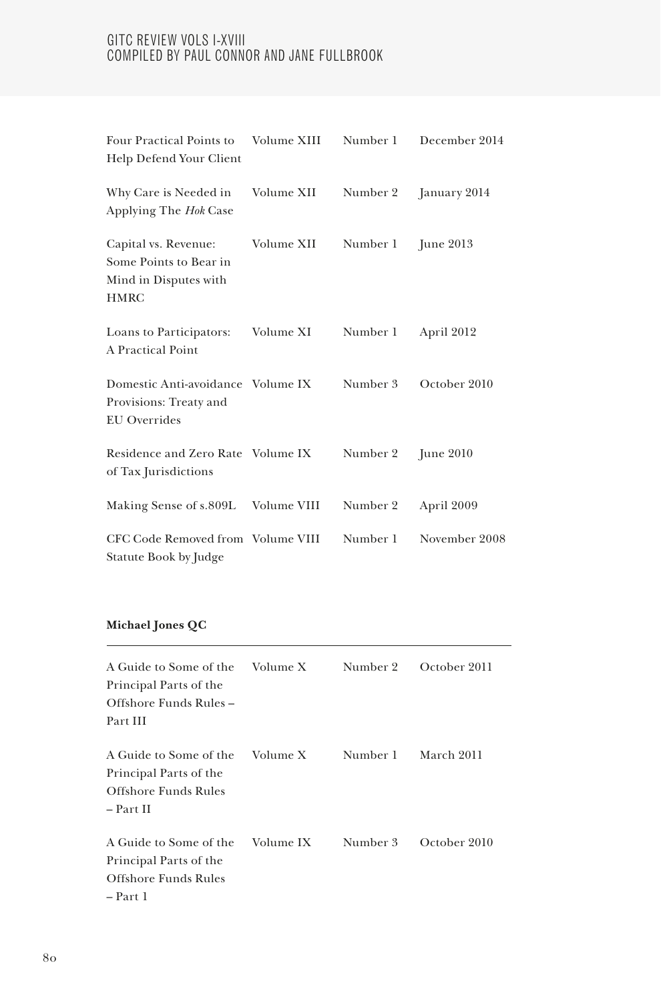| Four Practical Points to<br>Help Defend Your Client                                    | Volume XIII | Number 1 | December 2014    |
|----------------------------------------------------------------------------------------|-------------|----------|------------------|
| Why Care is Needed in<br>Applying The Hok Case                                         | Volume XII  | Number 2 | January 2014     |
| Capital vs. Revenue:<br>Some Points to Bear in<br>Mind in Disputes with<br><b>HMRC</b> | Volume XII  | Number 1 | <b>June 2013</b> |
| Loans to Participators:<br>A Practical Point                                           | Volume XI   | Number 1 | April 2012       |
| Domestic Anti-avoidance Volume IX<br>Provisions: Treaty and<br><b>EU</b> Overrides     |             | Number 3 | October 2010     |
| Residence and Zero Rate Volume IX<br>of Tax Jurisdictions                              |             | Number 2 | June $2010$      |
| Making Sense of s.809L Volume VIII                                                     |             | Number 2 | April 2009       |
| CFC Code Removed from Volume VIII<br>Statute Book by Judge                             |             | Number 1 | November 2008    |

## **Michael Jones QC**

| A Guide to Some of the<br>Principal Parts of the<br>Offshore Funds Rules –<br>Part III | Volume X  | Number 2 | October 2011 |
|----------------------------------------------------------------------------------------|-----------|----------|--------------|
| A Guide to Some of the<br>Principal Parts of the<br>Offshore Funds Rules<br>– Part II  | Volume X  | Number 1 | March 2011   |
| A Guide to Some of the<br>Principal Parts of the<br>Offshore Funds Rules<br>$- Part 1$ | Volume IX | Number 3 | October 2010 |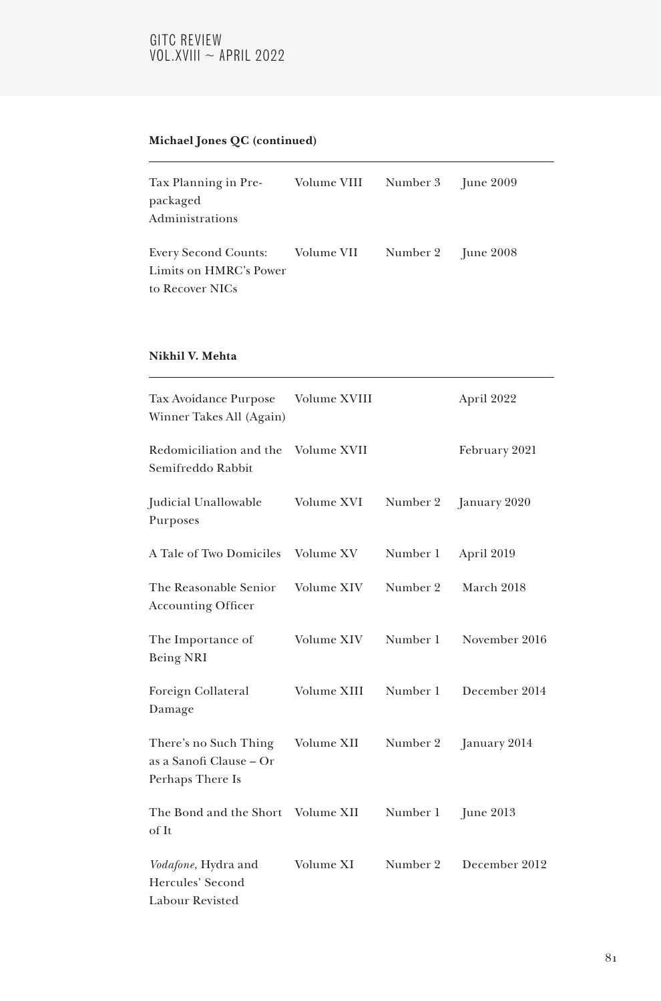## GITC REVIEW  $VOL.XVIII \sim APRIL 2022$

## **Michael Jones QC (continued)**

| Tax Planning in Pre-            | Volume VIII | Number 3 June 2009 |  |
|---------------------------------|-------------|--------------------|--|
| packaged                        |             |                    |  |
| Administrations                 |             |                    |  |
| Every Second Counts: Volume VII |             | Number 2 June 2008 |  |
| Limits on HMRC's Power          |             |                    |  |
| to Recover NICs                 |             |                    |  |

### **Nikhil V. Mehta**

| Tax Avoidance Purpose<br>Winner Takes All (Again)                    | Volume XVIII |          | April 2022    |
|----------------------------------------------------------------------|--------------|----------|---------------|
| Redomiciliation and the<br>Semifreddo Rabbit                         | Volume XVII  |          | February 2021 |
| Judicial Unallowable<br>Purposes                                     | Volume XVI   | Number 2 | January 2020  |
| A Tale of Two Domiciles                                              | Volume XV    | Number 1 | April 2019    |
| The Reasonable Senior<br><b>Accounting Officer</b>                   | Volume XIV   | Number 2 | March 2018    |
| The Importance of<br>Being NRI                                       | Volume XIV   | Number 1 | November 2016 |
| Foreign Collateral<br>Damage                                         | Volume XIII  | Number 1 | December 2014 |
| There's no Such Thing<br>as a Sanofi Clause – Or<br>Perhaps There Is | Volume XII   | Number 2 | January 2014  |
| The Bond and the Short<br>of It                                      | Volume XII   | Number 1 | June $2013$   |
| Vodafone, Hydra and<br>Hercules' Second<br>Labour Revisted           | Volume XI    | Number 2 | December 2012 |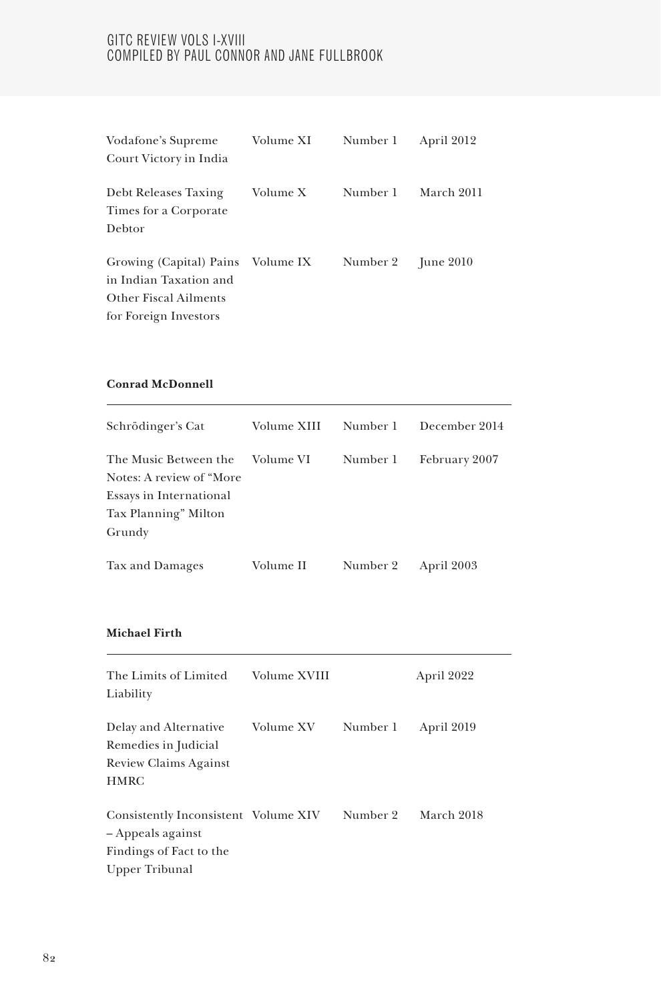| Vodafone's Supreme                            | Volume XI | Number 1 | April 2012  |
|-----------------------------------------------|-----------|----------|-------------|
| Court Victory in India                        |           |          |             |
| Debt Releases Taxing<br>Times for a Corporate | Volume X  | Number 1 | March 2011  |
| Debtor                                        |           |          |             |
| Growing (Capital) Pains Volume IX             |           | Number 2 | June $2010$ |
| in Indian Taxation and                        |           |          |             |
| <b>Other Fiscal Ailments</b>                  |           |          |             |
| for Foreign Investors                         |           |          |             |

## **Conrad McDonnell**

| Schrödinger's Cat         | Volume XIII | Number 1 | December 2014 |
|---------------------------|-------------|----------|---------------|
| The Music Between the     | Volume VI   | Number 1 | February 2007 |
| Notes: A review of "More" |             |          |               |
| Essays in International   |             |          |               |
| Tax Planning" Milton      |             |          |               |
| Grundy                    |             |          |               |
| Tax and Damages           | Volume II   | Number 2 | April 2003    |

#### **Michael Firth**

| The Limits of Limited<br>Liability                        | Volume XVIII |          | April 2022 |
|-----------------------------------------------------------|--------------|----------|------------|
| Delay and Alternative<br>Remedies in Judicial             | Volume XV    | Number 1 | April 2019 |
| Review Claims Against                                     |              |          |            |
| <b>HMRC</b>                                               |              |          |            |
| Consistently Inconsistent Volume XIV<br>– Appeals against |              | Number 2 | March 2018 |
| Findings of Fact to the                                   |              |          |            |
| Upper Tribunal                                            |              |          |            |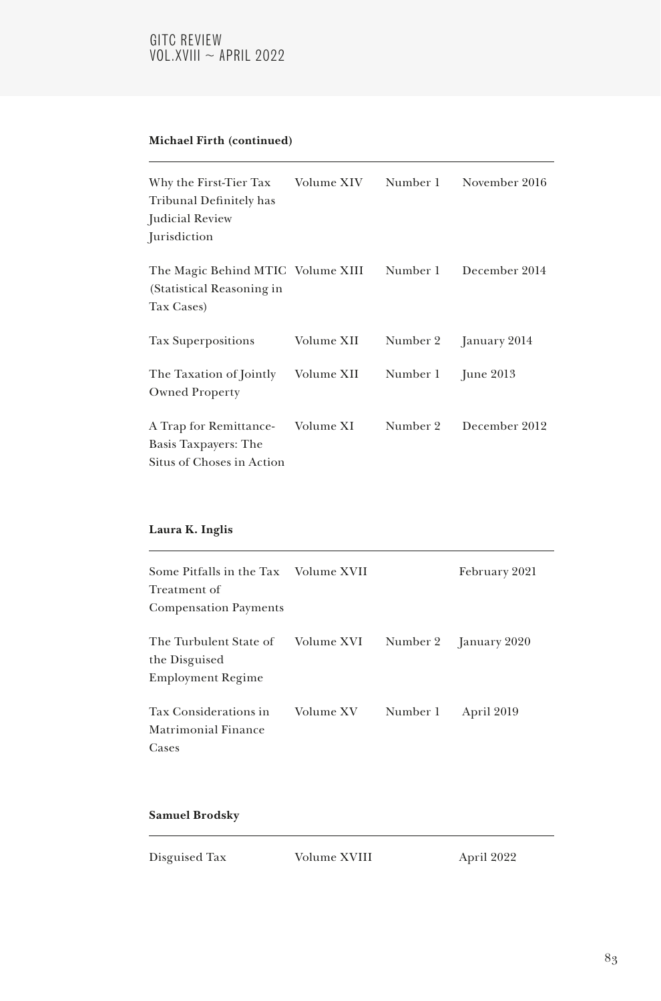## **Michael Firth (continued)**

| Why the First-Tier Tax<br>Tribunal Definitely has<br>Judicial Review<br><i>urisdiction</i> | Volume XIV | Number 1 | November 2016    |
|--------------------------------------------------------------------------------------------|------------|----------|------------------|
| The Magic Behind MTIC Volume XIII<br>(Statistical Reasoning in<br>Tax Cases)               |            | Number 1 | December 2014    |
| Tax Superpositions                                                                         | Volume XII | Number 2 | January 2014     |
| The Taxation of Jointly<br><b>Owned Property</b>                                           | Volume XII | Number 1 | <b>June 2013</b> |
| A Trap for Remittance-<br>Basis Taxpayers: The<br>Situs of Choses in Action                | Volume XI  | Number 2 | December 2012    |

## **Laura K. Inglis**

| Some Pitfalls in the Tax Volume XVII<br>Treatment of                |            |          | February 2021         |
|---------------------------------------------------------------------|------------|----------|-----------------------|
| <b>Compensation Payments</b>                                        |            |          |                       |
| The Turbulent State of<br>the Disguised<br><b>Employment Regime</b> | Volume XVI |          | Number 2 January 2020 |
| <b>Tax Considerations in</b><br>Matrimonial Finance<br>Cases        | Volume XV  | Number 1 | April 2019            |

### **Samuel Brodsky**

| Disguised Tax | Volume XVIII | April 2022 |
|---------------|--------------|------------|
|               |              |            |